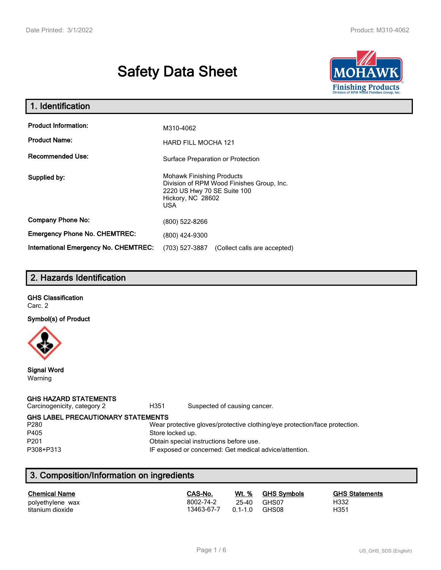# **Safety Data Sheet**



| 1. Identification                            |                                                                                                                                          |  |  |  |
|----------------------------------------------|------------------------------------------------------------------------------------------------------------------------------------------|--|--|--|
| <b>Product Information:</b>                  | M310-4062                                                                                                                                |  |  |  |
| <b>Product Name:</b>                         | <b>HARD FILL MOCHA 121</b>                                                                                                               |  |  |  |
| <b>Recommended Use:</b>                      | Surface Preparation or Protection                                                                                                        |  |  |  |
| Supplied by:                                 | <b>Mohawk Finishing Products</b><br>Division of RPM Wood Finishes Group, Inc.<br>2220 US Hwy 70 SE Suite 100<br>Hickory, NC 28602<br>USA |  |  |  |
| <b>Company Phone No:</b>                     | (800) 522-8266                                                                                                                           |  |  |  |
| <b>Emergency Phone No. CHEMTREC:</b>         | (800) 424-9300                                                                                                                           |  |  |  |
| <b>International Emergency No. CHEMTREC:</b> | (703) 527-3887<br>(Collect calls are accepted)                                                                                           |  |  |  |

# **2. Hazards Identification**

# **GHS Classification**

Carc. 2

**Symbol(s) of Product**



**Signal Word** Warning

### **GHS HAZARD STATEMENTS**

Carcinogenicity, category 2 **H351** Suspected of causing cancer.

**GHS LABEL PRECAUTIONARY STATEMENTS**<br>P280 Wear p

#### Wear protective gloves/protective clothing/eye protection/face protection. P405 Store locked up.

P201 Obtain special instructions before use.

P308+P313 IF exposed or concerned: Get medical advice/attention.

# **3. Composition/Information on ingredients**

| <b>Chemical Name</b> | CAS-No.    | Wt. %       | <b>GHS Symbols</b> | <b>GHS Statements</b> |
|----------------------|------------|-------------|--------------------|-----------------------|
| polyethylene wax     | 8002-74-2  | 25-40       | GHS07              | H332                  |
| titanium dioxide     | 13463-67-7 | $0.1 - 1.0$ | GHS08              | H351                  |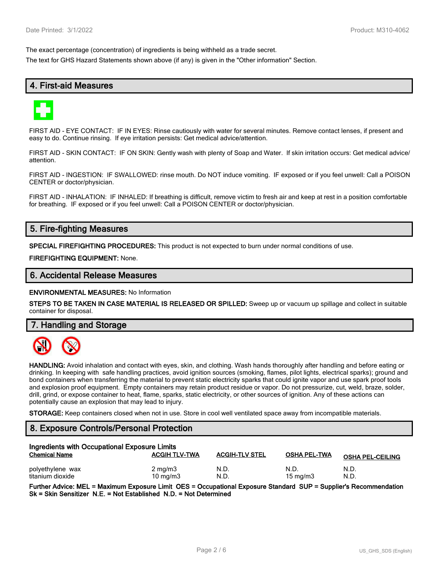The exact percentage (concentration) of ingredients is being withheld as a trade secret.

The text for GHS Hazard Statements shown above (if any) is given in the "Other information" Section.

# **4. First-aid Measures**



FIRST AID - EYE CONTACT: IF IN EYES: Rinse cautiously with water for several minutes. Remove contact lenses, if present and easy to do. Continue rinsing. If eye irritation persists: Get medical advice/attention.

FIRST AID - SKIN CONTACT: IF ON SKIN: Gently wash with plenty of Soap and Water. If skin irritation occurs: Get medical advice/ attention.

FIRST AID - INGESTION: IF SWALLOWED: rinse mouth. Do NOT induce vomiting. IF exposed or if you feel unwell: Call a POISON CENTER or doctor/physician.

FIRST AID - INHALATION: IF INHALED: If breathing is difficult, remove victim to fresh air and keep at rest in a position comfortable for breathing. IF exposed or if you feel unwell: Call a POISON CENTER or doctor/physician.

# **5. Fire-fighting Measures**

**SPECIAL FIREFIGHTING PROCEDURES:** This product is not expected to burn under normal conditions of use.

**FIREFIGHTING EQUIPMENT:** None.

### **6. Accidental Release Measures**

**ENVIRONMENTAL MEASURES:** No Information

**STEPS TO BE TAKEN IN CASE MATERIAL IS RELEASED OR SPILLED:** Sweep up or vacuum up spillage and collect in suitable container for disposal.

**7. Handling and Storage**



**HANDLING:** Avoid inhalation and contact with eyes, skin, and clothing. Wash hands thoroughly after handling and before eating or drinking. In keeping with safe handling practices, avoid ignition sources (smoking, flames, pilot lights, electrical sparks); ground and bond containers when transferring the material to prevent static electricity sparks that could ignite vapor and use spark proof tools and explosion proof equipment. Empty containers may retain product residue or vapor. Do not pressurize, cut, weld, braze, solder, drill, grind, or expose container to heat, flame, sparks, static electricity, or other sources of ignition. Any of these actions can potentially cause an explosion that may lead to injury.

**STORAGE:** Keep containers closed when not in use. Store in cool well ventilated space away from incompatible materials.

## **8. Exposure Controls/Personal Protection**

| Ingredients with Occupational Exposure Limits |                      |                       |                     |                         |  |
|-----------------------------------------------|----------------------|-----------------------|---------------------|-------------------------|--|
| <b>Chemical Name</b>                          | <b>ACGIH TLV-TWA</b> | <b>ACGIH-TLV STEL</b> | <b>OSHA PEL-TWA</b> | <b>OSHA PEL-CEILING</b> |  |
| polyethylene wax                              | $2 \text{ mg/m}$     | N.D                   | N.D.                | N.D.                    |  |
| titanium dioxide                              | $10 \text{ mg/m}$    | N.D                   | $15 \text{ mg/m}$   | N.D.                    |  |

**Further Advice: MEL = Maximum Exposure Limit OES = Occupational Exposure Standard SUP = Supplier's Recommendation Sk = Skin Sensitizer N.E. = Not Established N.D. = Not Determined**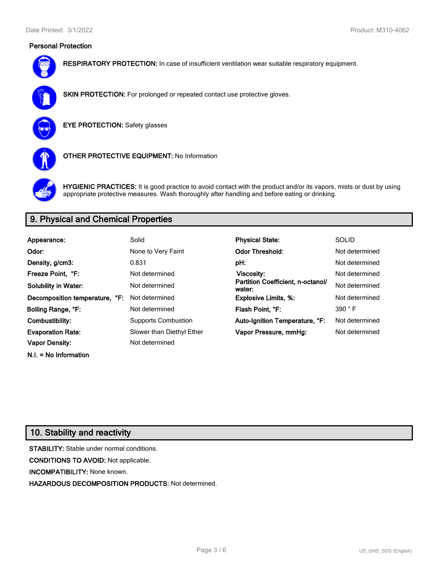## **Personal Protection**



**RESPIRATORY PROTECTION:** In case of insufficient ventilation wear suitable respiratory equipment.



**SKIN PROTECTION:** For prolonged or repeated contact use protective gloves.

**EYE PROTECTION:** Safety glasses



**OTHER PROTECTIVE EQUIPMENT:** No Information



**HYGIENIC PRACTICES:** It is good practice to avoid contact with the product and/or its vapors, mists or dust by using appropriate protective measures. Wash thoroughly after handling and before eating or drinking.

# **9. Physical and Chemical Properties**

| Appearance:                    | Solid                      | <b>Physical State:</b>                      | <b>SOLID</b>   |
|--------------------------------|----------------------------|---------------------------------------------|----------------|
| Odor:                          | None to Very Faint         | <b>Odor Threshold:</b>                      | Not determined |
| Density, g/cm3:                | 0.831                      | pH:                                         | Not determined |
| Freeze Point. °F:              | Not determined             | Viscosity:                                  | Not determined |
| <b>Solubility in Water:</b>    | Not determined             | Partition Coefficient, n-octanol/<br>water: | Not determined |
| Decomposition temperature, °F: | Not determined             | <b>Explosive Limits, %:</b>                 | Not determined |
| Boiling Range, °F:             | Not determined             | Flash Point, °F:                            | 390 °F         |
| Combustibility:                | <b>Supports Combustion</b> | Auto-Ignition Temperature, °F:              | Not determined |
| <b>Evaporation Rate:</b>       | Slower than Diethyl Ether  | Vapor Pressure, mmHg:                       | Not determined |
| <b>Vapor Density:</b>          | Not determined             |                                             |                |

# **10. Stability and reactivity**

**N.I. = No Information**

**STABILITY:** Stable under normal conditions. **CONDITIONS TO AVOID:** Not applicable. **INCOMPATIBILITY:** None known. **HAZARDOUS DECOMPOSITION PRODUCTS:** Not determined.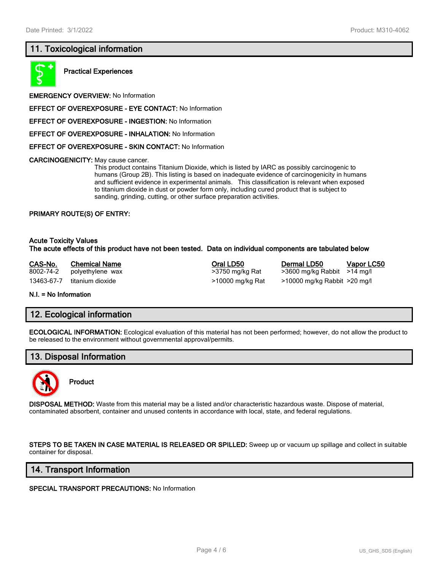# **11. Toxicological information**



**Practical Experiences**

**EMERGENCY OVERVIEW:** No Information

**EFFECT OF OVEREXPOSURE - EYE CONTACT:** No Information

**EFFECT OF OVEREXPOSURE - INGESTION:** No Information

**EFFECT OF OVEREXPOSURE - INHALATION:** No Information

**EFFECT OF OVEREXPOSURE - SKIN CONTACT:** No Information

**CARCINOGENICITY:** May cause cancer.

This product contains Titanium Dioxide, which is listed by IARC as possibly carcinogenic to humans (Group 2B). This listing is based on inadequate evidence of carcinogenicity in humans and sufficient evidence in experimental animals. This classification is relevant when exposed to titanium dioxide in dust or powder form only, including cured product that is subject to sanding, grinding, cutting, or other surface preparation activities.

#### **PRIMARY ROUTE(S) OF ENTRY:**

#### **Acute Toxicity Values The acute effects of this product have not been tested. Data on individual components are tabulated below**

**CAS-No. Chemical Name Oral LD50 Dermal LD50 Vapor LC50** 8002-74-2 polyethylene wax >3750 mg/kg Rat >3600 mg/kg Rabbit >14 mg/l 13463-67-7 titanium dioxide >10000 mg/kg Rat >10000 mg/kg Rabbit >20 mg/l

**N.I. = No Information**

### **12. Ecological information**

**ECOLOGICAL INFORMATION:** Ecological evaluation of this material has not been performed; however, do not allow the product to be released to the environment without governmental approval/permits.

# **13. Disposal Information**



**Product**

**DISPOSAL METHOD:** Waste from this material may be a listed and/or characteristic hazardous waste. Dispose of material, contaminated absorbent, container and unused contents in accordance with local, state, and federal regulations.

**STEPS TO BE TAKEN IN CASE MATERIAL IS RELEASED OR SPILLED:** Sweep up or vacuum up spillage and collect in suitable container for disposal.

### **14. Transport Information**

**SPECIAL TRANSPORT PRECAUTIONS:** No Information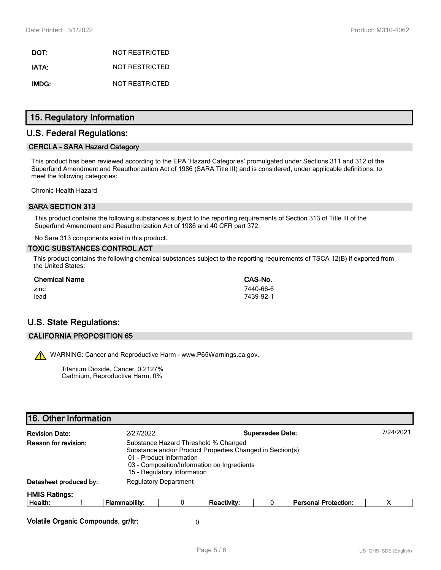**DOT:** NOT RESTRICTED **IATA:** NOT RESTRICTED **IMDG:** NOT RESTRICTED

# **15. Regulatory Information**

# **U.S. Federal Regulations:**

### **CERCLA - SARA Hazard Category**

This product has been reviewed according to the EPA 'Hazard Categories' promulgated under Sections 311 and 312 of the Superfund Amendment and Reauthorization Act of 1986 (SARA Title III) and is considered, under applicable definitions, to meet the following categories:

Chronic Health Hazard

### **SARA SECTION 313**

This product contains the following substances subject to the reporting requirements of Section 313 of Title III of the Superfund Amendment and Reauthorization Act of 1986 and 40 CFR part 372:

No Sara 313 components exist in this product.

#### **TOXIC SUBSTANCES CONTROL ACT**

This product contains the following chemical substances subject to the reporting requirements of TSCA 12(B) if exported from the United States:

| <b>Chemical Name</b> | CAS-No.   |
|----------------------|-----------|
| zinc                 | 7440-66-6 |
| lead                 | 7439-92-1 |

# **U.S. State Regulations:**

#### **CALIFORNIA PROPOSITION 65**

WARNING: Cancer and Reproductive Harm - www.P65Warnings.ca.gov.

Titanium Dioxide, Cancer, 0.2127% Cadmium, Reproductive Harm, 0%

| <b>Revision Date:</b>                                                                                                                                                                                                                | <b>Supersedes Date:</b><br>2/27/2022 |                              |   |                    | 7/24/2021 |                             |   |
|--------------------------------------------------------------------------------------------------------------------------------------------------------------------------------------------------------------------------------------|--------------------------------------|------------------------------|---|--------------------|-----------|-----------------------------|---|
| Reason for revision:<br>Substance Hazard Threshold % Changed<br>Substance and/or Product Properties Changed in Section(s):<br>01 - Product Information<br>03 - Composition/Information on Ingredients<br>15 - Regulatory Information |                                      |                              |   |                    |           |                             |   |
|                                                                                                                                                                                                                                      | Datasheet produced by:               | <b>Regulatory Department</b> |   |                    |           |                             |   |
| <b>HMIS Ratings:</b>                                                                                                                                                                                                                 |                                      |                              |   |                    |           |                             |   |
| Health:                                                                                                                                                                                                                              |                                      | <b>Flammability:</b>         | 0 | <b>Reactivity:</b> |           | <b>Personal Protection:</b> | х |